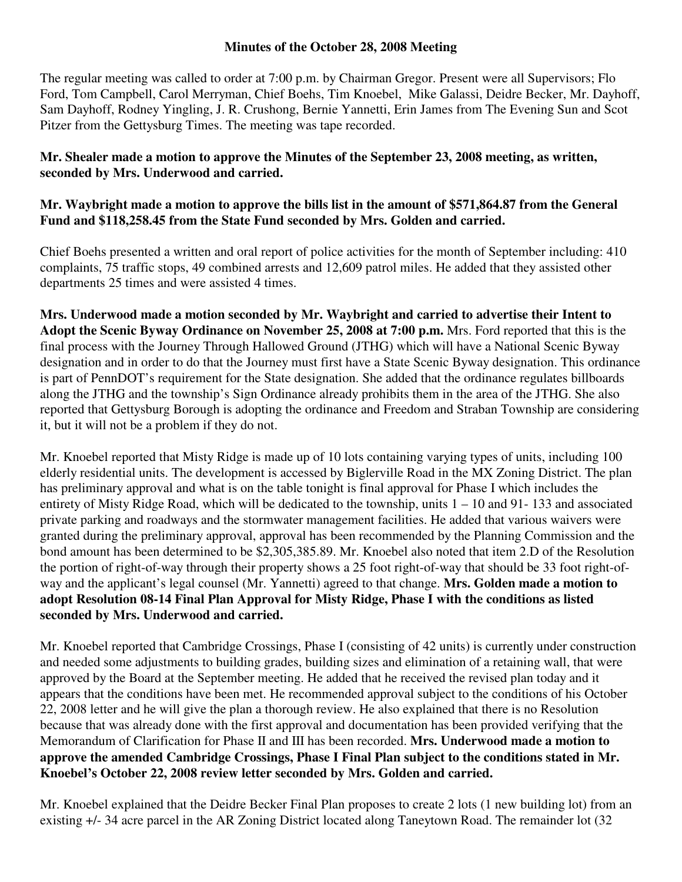## **Minutes of the October 28, 2008 Meeting**

The regular meeting was called to order at 7:00 p.m. by Chairman Gregor. Present were all Supervisors; Flo Ford, Tom Campbell, Carol Merryman, Chief Boehs, Tim Knoebel, Mike Galassi, Deidre Becker, Mr. Dayhoff, Sam Dayhoff, Rodney Yingling, J. R. Crushong, Bernie Yannetti, Erin James from The Evening Sun and Scot Pitzer from the Gettysburg Times. The meeting was tape recorded.

## **Mr. Shealer made a motion to approve the Minutes of the September 23, 2008 meeting, as written, seconded by Mrs. Underwood and carried.**

## **Mr. Waybright made a motion to approve the bills list in the amount of \$571,864.87 from the General Fund and \$118,258.45 from the State Fund seconded by Mrs. Golden and carried.**

Chief Boehs presented a written and oral report of police activities for the month of September including: 410 complaints, 75 traffic stops, 49 combined arrests and 12,609 patrol miles. He added that they assisted other departments 25 times and were assisted 4 times.

**Mrs. Underwood made a motion seconded by Mr. Waybright and carried to advertise their Intent to Adopt the Scenic Byway Ordinance on November 25, 2008 at 7:00 p.m.** Mrs. Ford reported that this is the final process with the Journey Through Hallowed Ground (JTHG) which will have a National Scenic Byway designation and in order to do that the Journey must first have a State Scenic Byway designation. This ordinance is part of PennDOT's requirement for the State designation. She added that the ordinance regulates billboards along the JTHG and the township's Sign Ordinance already prohibits them in the area of the JTHG. She also reported that Gettysburg Borough is adopting the ordinance and Freedom and Straban Township are considering it, but it will not be a problem if they do not.

Mr. Knoebel reported that Misty Ridge is made up of 10 lots containing varying types of units, including 100 elderly residential units. The development is accessed by Biglerville Road in the MX Zoning District. The plan has preliminary approval and what is on the table tonight is final approval for Phase I which includes the entirety of Misty Ridge Road, which will be dedicated to the township, units 1 – 10 and 91- 133 and associated private parking and roadways and the stormwater management facilities. He added that various waivers were granted during the preliminary approval, approval has been recommended by the Planning Commission and the bond amount has been determined to be \$2,305,385.89. Mr. Knoebel also noted that item 2.D of the Resolution the portion of right-of-way through their property shows a 25 foot right-of-way that should be 33 foot right-ofway and the applicant's legal counsel (Mr. Yannetti) agreed to that change. **Mrs. Golden made a motion to adopt Resolution 08-14 Final Plan Approval for Misty Ridge, Phase I with the conditions as listed seconded by Mrs. Underwood and carried.** 

Mr. Knoebel reported that Cambridge Crossings, Phase I (consisting of 42 units) is currently under construction and needed some adjustments to building grades, building sizes and elimination of a retaining wall, that were approved by the Board at the September meeting. He added that he received the revised plan today and it appears that the conditions have been met. He recommended approval subject to the conditions of his October 22, 2008 letter and he will give the plan a thorough review. He also explained that there is no Resolution because that was already done with the first approval and documentation has been provided verifying that the Memorandum of Clarification for Phase II and III has been recorded. **Mrs. Underwood made a motion to approve the amended Cambridge Crossings, Phase I Final Plan subject to the conditions stated in Mr. Knoebel's October 22, 2008 review letter seconded by Mrs. Golden and carried.** 

Mr. Knoebel explained that the Deidre Becker Final Plan proposes to create 2 lots (1 new building lot) from an existing +/- 34 acre parcel in the AR Zoning District located along Taneytown Road. The remainder lot (32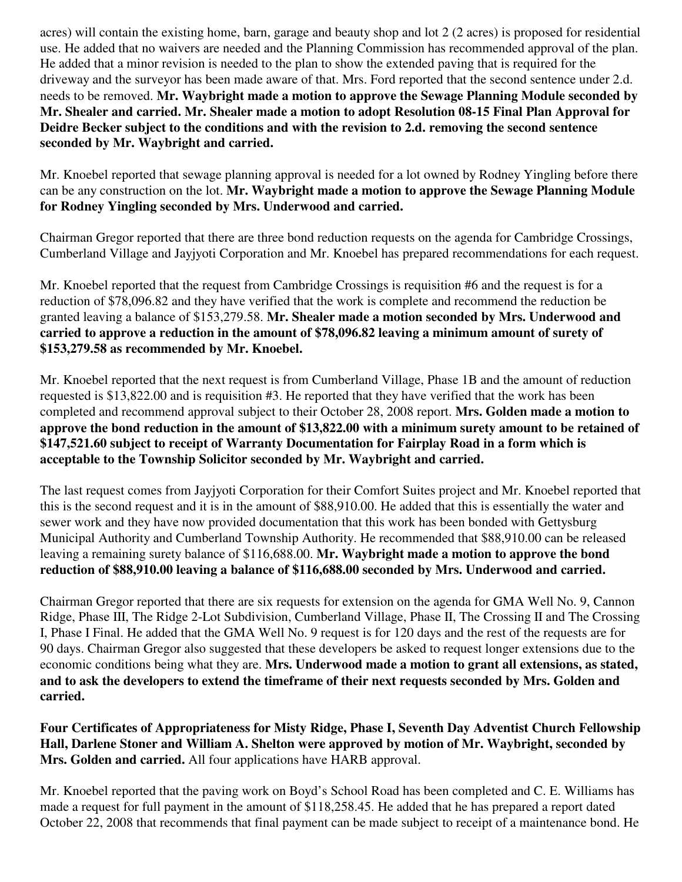acres) will contain the existing home, barn, garage and beauty shop and lot 2 (2 acres) is proposed for residential use. He added that no waivers are needed and the Planning Commission has recommended approval of the plan. He added that a minor revision is needed to the plan to show the extended paving that is required for the driveway and the surveyor has been made aware of that. Mrs. Ford reported that the second sentence under 2.d. needs to be removed. **Mr. Waybright made a motion to approve the Sewage Planning Module seconded by Mr. Shealer and carried. Mr. Shealer made a motion to adopt Resolution 08-15 Final Plan Approval for Deidre Becker subject to the conditions and with the revision to 2.d. removing the second sentence seconded by Mr. Waybright and carried.** 

Mr. Knoebel reported that sewage planning approval is needed for a lot owned by Rodney Yingling before there can be any construction on the lot. **Mr. Waybright made a motion to approve the Sewage Planning Module for Rodney Yingling seconded by Mrs. Underwood and carried.** 

Chairman Gregor reported that there are three bond reduction requests on the agenda for Cambridge Crossings, Cumberland Village and Jayjyoti Corporation and Mr. Knoebel has prepared recommendations for each request.

Mr. Knoebel reported that the request from Cambridge Crossings is requisition #6 and the request is for a reduction of \$78,096.82 and they have verified that the work is complete and recommend the reduction be granted leaving a balance of \$153,279.58. **Mr. Shealer made a motion seconded by Mrs. Underwood and carried to approve a reduction in the amount of \$78,096.82 leaving a minimum amount of surety of \$153,279.58 as recommended by Mr. Knoebel.** 

Mr. Knoebel reported that the next request is from Cumberland Village, Phase 1B and the amount of reduction requested is \$13,822.00 and is requisition #3. He reported that they have verified that the work has been completed and recommend approval subject to their October 28, 2008 report. **Mrs. Golden made a motion to approve the bond reduction in the amount of \$13,822.00 with a minimum surety amount to be retained of \$147,521.60 subject to receipt of Warranty Documentation for Fairplay Road in a form which is acceptable to the Township Solicitor seconded by Mr. Waybright and carried.** 

The last request comes from Jayjyoti Corporation for their Comfort Suites project and Mr. Knoebel reported that this is the second request and it is in the amount of \$88,910.00. He added that this is essentially the water and sewer work and they have now provided documentation that this work has been bonded with Gettysburg Municipal Authority and Cumberland Township Authority. He recommended that \$88,910.00 can be released leaving a remaining surety balance of \$116,688.00. **Mr. Waybright made a motion to approve the bond reduction of \$88,910.00 leaving a balance of \$116,688.00 seconded by Mrs. Underwood and carried.** 

Chairman Gregor reported that there are six requests for extension on the agenda for GMA Well No. 9, Cannon Ridge, Phase III, The Ridge 2-Lot Subdivision, Cumberland Village, Phase II, The Crossing II and The Crossing I, Phase I Final. He added that the GMA Well No. 9 request is for 120 days and the rest of the requests are for 90 days. Chairman Gregor also suggested that these developers be asked to request longer extensions due to the economic conditions being what they are. **Mrs. Underwood made a motion to grant all extensions, as stated, and to ask the developers to extend the timeframe of their next requests seconded by Mrs. Golden and carried.** 

**Four Certificates of Appropriateness for Misty Ridge, Phase I, Seventh Day Adventist Church Fellowship Hall, Darlene Stoner and William A. Shelton were approved by motion of Mr. Waybright, seconded by Mrs. Golden and carried.** All four applications have HARB approval.

Mr. Knoebel reported that the paving work on Boyd's School Road has been completed and C. E. Williams has made a request for full payment in the amount of \$118,258.45. He added that he has prepared a report dated October 22, 2008 that recommends that final payment can be made subject to receipt of a maintenance bond. He